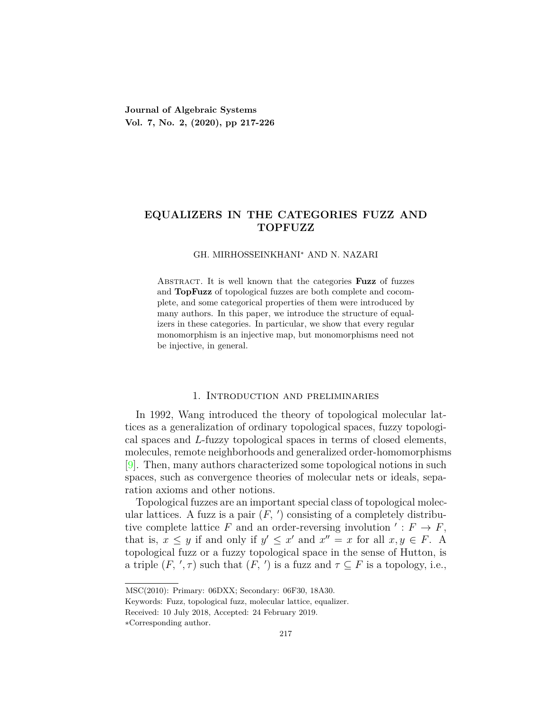**Journal of Algebraic Systems Vol. 7, No. 2, (2020), pp 217-226**

# **EQUALIZERS IN THE CATEGORIES FUZZ AND TOPFUZZ**

#### GH. MIRHOSSEINKHANI*<sup>∗</sup>* AND N. NAZARI

Abstract. It is well known that the categories **Fuzz** of fuzzes and **TopFuzz** of topological fuzzes are both complete and cocomplete, and some categorical properties of them were introduced by many authors. In this paper, we introduce the structure of equalizers in these categories. In particular, we show that every regular monomorphism is an injective map, but monomorphisms need not be injective, in general.

### 1. Introduction and preliminaries

In 1992, Wang introduced the theory of topological molecular lattices as a generalization of ordinary topological spaces, fuzzy topological spaces and *L*-fuzzy topological spaces in terms of closed elements, molecules, remote neighborhoods and generalized order-homomorphisms [[9\]](#page-8-0). Then, many authors characterized some topological notions in such spaces, such as convergence theories of molecular nets or ideals, separation axioms and other notions.

Topological fuzzes are an important special class of topological molecular lattices. A fuzz is a pair  $(F, ' )$  consisting of a completely distributive complete lattice  $F$  and an order-reversing involution  $' : F \to F$ , that is,  $x \leq y$  if and only if  $y' \leq x'$  and  $x'' = x$  for all  $x, y \in F$ . A topological fuzz or a fuzzy topological space in the sense of Hutton, is a triple  $(F, ',\tau)$  such that  $(F, ')$  is a fuzz and  $\tau \subseteq F$  is a topology, i.e.,

MSC(2010): Primary: 06DXX; Secondary: 06F30, 18A30.

Keywords: Fuzz, topological fuzz, molecular lattice, equalizer.

Received: 10 July 2018, Accepted: 24 February 2019.

*<sup>∗</sup>*Corresponding author.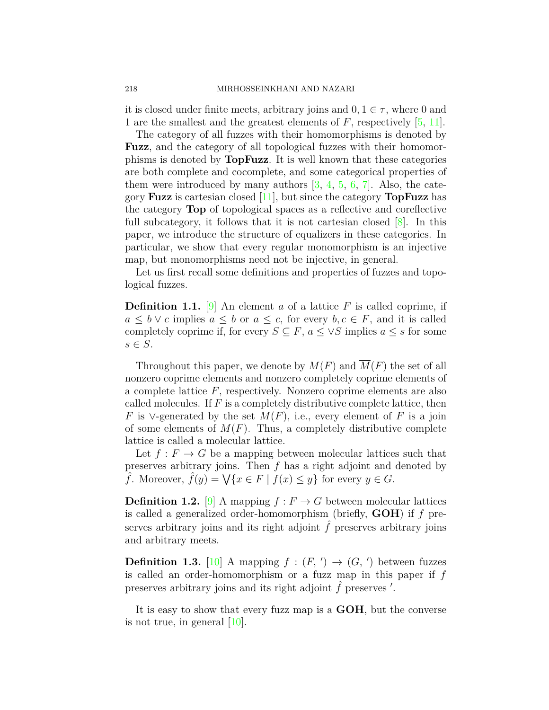it is closed under finite meets, arbitrary joins and  $0, 1 \in \tau$ , where 0 and 1 are the smallest and the greatest elements of *F*, respectively [[5,](#page-8-1) [11](#page-9-0)].

The category of all fuzzes with their homomorphisms is denoted by **Fuzz**, and the category of all topological fuzzes with their homomorphisms is denoted by **TopFuzz**. It is well known that these categories are both complete and cocomplete, and some categorical properties of them were introduced by many authors  $[3, 4, 5, 6, 7]$  $[3, 4, 5, 6, 7]$  $[3, 4, 5, 6, 7]$  $[3, 4, 5, 6, 7]$  $[3, 4, 5, 6, 7]$  $[3, 4, 5, 6, 7]$  $[3, 4, 5, 6, 7]$  $[3, 4, 5, 6, 7]$  $[3, 4, 5, 6, 7]$  $[3, 4, 5, 6, 7]$  $[3, 4, 5, 6, 7]$ . Also, the category **Fuzz** is cartesian closed [\[11](#page-9-0)], but since the category **TopFuzz** has the category **Top** of topological spaces as a reflective and coreflective full subcategory, it follows that it is not cartesian closed [[8](#page-8-6)]. In this paper, we introduce the structure of equalizers in these categories. In particular, we show that every regular monomorphism is an injective map, but monomorphisms need not be injective, in general.

Let us first recall some definitions and properties of fuzzes and topological fuzzes.

**Definition 1.1.** [[9\]](#page-8-0) An element *a* of a lattice *F* is called coprime, if  $a \leq b \vee c$  implies  $a \leq b$  or  $a \leq c$ , for every  $b, c \in F$ , and it is called completely coprime if, for every  $S \subseteq F$ ,  $a \leq \sqrt{S}$  implies  $a \leq s$  for some *s ∈ S*.

Throughout this paper, we denote by  $M(F)$  and  $\overline{M}(F)$  the set of all nonzero coprime elements and nonzero completely coprime elements of a complete lattice *F*, respectively. Nonzero coprime elements are also called molecules. If *F* is a completely distributive complete lattice, then *F* is *∨*-generated by the set *M*(*F*), i.e., every element of *F* is a join of some elements of  $M(F)$ . Thus, a completely distributive complete lattice is called a molecular lattice.

Let  $f: F \to G$  be a mapping between molecular lattices such that preserves arbitrary joins. Then *f* has a right adjoint and denoted by  $\hat{f}$ . Moreover,  $\hat{f}(y) = \bigvee \{x \in F \mid f(x) \leq y\}$  for every  $y \in G$ .

**Definition 1.2.** [\[9](#page-8-0)] A mapping  $f: F \to G$  between molecular lattices is called a generalized order-homomorphism (briefly, **GOH**) if *f* preserves arbitrary joins and its right adjoint  $\hat{f}$  preserves arbitrary joins and arbitrary meets.

**Definition 1.3.** [\[10](#page-9-1)] A mapping  $f : (F, ')\to (G, ')$  between fuzzes is called an order-homomorphism or a fuzz map in this paper if *f* preserves arbitrary joins and its right adjoint  $\hat{f}$  preserves  $'$ .

It is easy to show that every fuzz map is a **GOH**, but the converse is not true, in general [\[10\]](#page-9-1).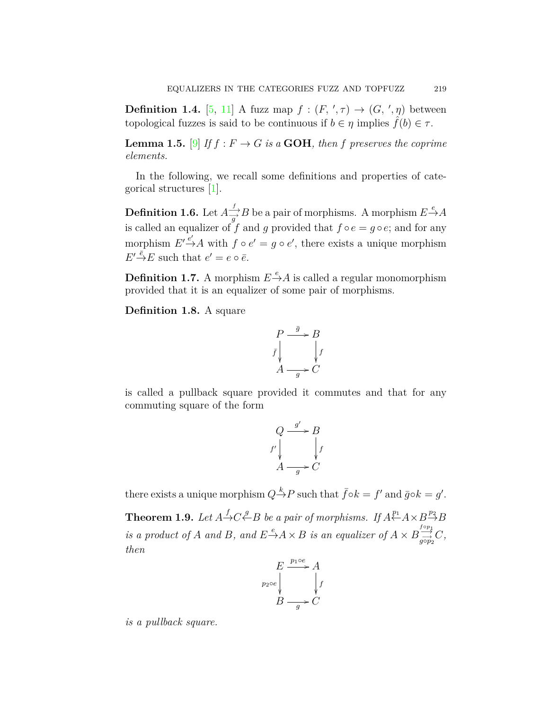**Definition 1.4.** [[5,](#page-8-1) [11](#page-9-0)] A fuzz map  $f : (F, ', \tau) \to (G, ', \eta)$  between topological fuzzes is said to be continuous if  $b \in \eta$  implies  $\hat{f}(b) \in \tau$ .

**Lemma 1.5.** [[9\]](#page-8-0) *If*  $f : F \to G$  *is a* **GOH***, then f* preserves the coprime *elements.*

In the following, we recall some definitions and properties of categorical structures [\[1](#page-8-7)].

**Definition 1.6.** Let  $A \xrightarrow[g]{f} B$  be a pair of morphisms. A morphism  $E \xrightarrow{e} A$ is called an equalizer of *f* and *g* provided that *f ◦ e* = *g ◦ e*; and for any morphism  $E' \xrightarrow{e'} A$  with  $f \circ e' = g \circ e'$ , there exists a unique morphism  $E' \stackrel{\bar{e}}{\rightarrow} E$  such that  $e' = e \circ \bar{e}$ .

**Definition 1.7.** A morphism  $E \rightarrow A$  is called a regular monomorphism provided that it is an equalizer of some pair of morphisms.

**Definition 1.8.** A square

$$
\begin{array}{ccc}\nP & \xrightarrow{\bar{g}} & B \\
\bar{f} & & f \\
A & \xrightarrow{g} & C\n\end{array}
$$

is called a pullback square provided it commutes and that for any commuting square of the form

$$
Q \xrightarrow{g'} B
$$
  
f'\n
$$
A \xrightarrow{g} C
$$

<span id="page-2-0"></span>there exists a unique morphism  $Q \xrightarrow{k} P$  such that  $\bar{f} \circ k = f'$  and  $\bar{g} \circ k = g'$ . **Theorem 1.9.** Let  $A \xrightarrow{f} C \xleftarrow{g} B$  be a pair of morphisms. If  $A \xleftarrow{p_1} A \times B \xrightarrow{p_2} B$ is a product of A and B, and  $E \rightarrow A \times B$  is an equalizer of  $A \times B \stackrel{f \circ p_1}{\rightarrow} C$ , *then*

$$
E \xrightarrow{p_1 \circ e} A
$$
  
\n
$$
p_2 \circ e \downarrow \qquad f
$$
  
\n
$$
B \xrightarrow{g} C
$$

*is a pullback square.*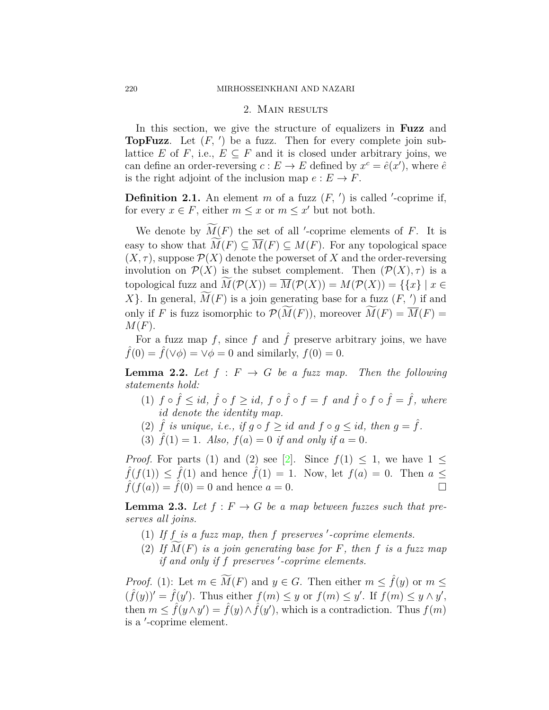### 220 MIRHOSSEINKHANI AND NAZARI

## 2. Main results

In this section, we give the structure of equalizers in **Fuzz** and **TopFuzz**. Let  $(F, ' )$  be a fuzz. Then for every complete join sublattice *E* of *F*, i.e.,  $E \subseteq F$  and it is closed under arbitrary joins, we can define an order-reversing  $c: E \to E$  defined by  $x^c = \hat{e}(x')$ , where  $\hat{e}$ is the right adjoint of the inclusion map  $e: E \to F$ .

**Definition 2.1.** An element  $m$  of a fuzz  $(F, ' )$  is called *'*-coprime if, for every  $x \in F$ , either  $m \leq x$  or  $m \leq x'$  but not both.

We denote by  $M(F)$  the set of all '-coprime elements of *F*. It is easy to show that  $M(F) \subseteq \overline{M}(F) \subseteq M(F)$ . For any topological space  $(X, \tau)$ , suppose  $\mathcal{P}(X)$  denote the powerset of X and the order-reversing involution on  $\mathcal{P}(X)$  is the subset complement. Then  $(\mathcal{P}(X), \tau)$  is a topological fuzz and  $\widetilde{M}(\mathcal{P}(X)) = \overline{M}(\mathcal{P}(X)) = M(\mathcal{P}(X)) = \{ \{x\} \mid x \in$ *X*}. In general,  $M(F)$  is a join generating base for a fuzz  $(F, ' )$  if and only if *F* is fuzz isomorphic to  $\mathcal{P}(\widetilde{M}(F))$ , moreover  $\widetilde{M}(F) = \overline{M}(F)$ *M*(*F*).

For a fuzz map  $f$ , since  $f$  and  $\hat{f}$  preserve arbitrary joins, we have  $\hat{f}(0) = \hat{f}(\vee \phi) = \vee \phi = 0$  and similarly,  $f(0) = 0$ .

**Lemma 2.2.** Let  $f : F \to G$  be a fuzz map. Then the following *statements hold:*

- (1)  $f \circ \hat{f} \le id$ ,  $\hat{f} \circ f \ge id$ ,  $f \circ \hat{f} \circ f = f$  and  $\hat{f} \circ f \circ \hat{f} = \hat{f}$ , where *id denote the identity map.*
- (2)  $\hat{f}$  *is unique, i.e., if*  $g \circ f \ge id$  *and*  $f \circ g \le id$ *, then*  $g = \hat{f}$ *.*
- (3)  $\hat{f}(1) = 1$ *. Also,*  $f(a) = 0$  *if and only if*  $a = 0$ *.*

*Proof.* For parts (1) and (2) see [[2\]](#page-8-8). Since  $f(1) < 1$ , we have  $1 <$  $\hat{f}(f(1)) \leq \hat{f}(1)$  and hence  $\hat{f}(1) = 1$ . Now, let  $f(a) = 0$ . Then  $a \leq$  $f(f(a)) = f(0) = 0$  and hence  $a = 0$ .

<span id="page-3-0"></span>**Lemma 2.3.** Let  $f: F \to G$  be a map between fuzzes such that pre*serves all joins.*

- (1) *If f is a fuzz map, then f preserves ′ -coprime elements.*
- (2) If  $M(F)$  is a join generating base for F, then f is a fuzz map *if and only if f preserves ′ -coprime elements.*

*Proof.* (1): Let  $m \in \widetilde{M}(F)$  and  $y \in G$ . Then either  $m \leq \widehat{f}(y)$  or  $m \leq$  $(\hat{f}(y))' = \hat{f}(y')$ . Thus either  $f(m) \leq y$  or  $f(m) \leq y'$ . If  $f(m) \leq y \wedge y'$ , then  $m \leq \hat{f}(y \wedge y') = \hat{f}(y) \wedge \hat{f}(y')$ , which is a contradiction. Thus  $f(m)$ is a *′* -coprime element.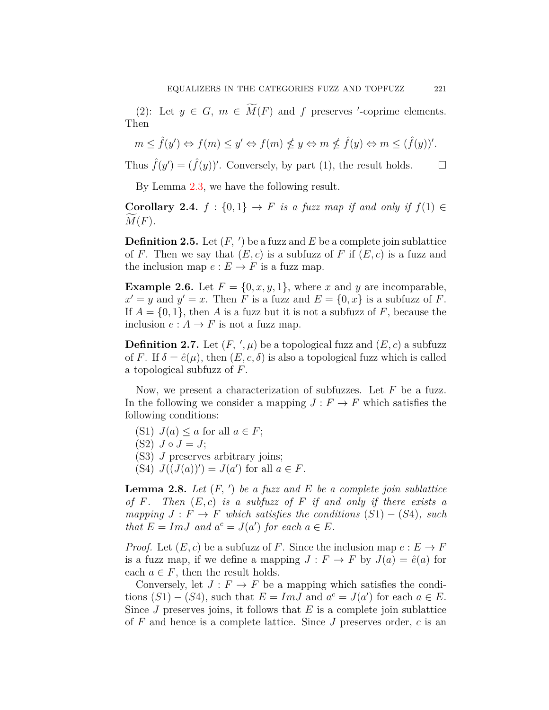(2): Let  $y \in G$ ,  $m \in M(F)$  and  $f$  preserves *'*-coprime elements. Then

$$
m \leq \hat{f}(y') \Leftrightarrow f(m) \leq y' \Leftrightarrow f(m) \nleq y \Leftrightarrow m \nleq \hat{f}(y) \Leftrightarrow m \leq (\hat{f}(y))'.
$$

Thus  $\hat{f}(y') = (\hat{f}(y))'$ . Conversely, by part (1), the result holds.  $\Box$ 

By Lemma [2.3,](#page-3-0) we have the following result.

<span id="page-4-1"></span>**Corollary 2.4.**  $f : \{0,1\} \rightarrow F$  *is a fuzz map if and only if*  $f(1) \in$  $M(F)$ .

**Definition 2.5.** Let (*F, ′* ) be a fuzz and *E* be a complete join sublattice of *F*. Then we say that  $(E, c)$  is a subfuzz of *F* if  $(E, c)$  is a fuzz and the inclusion map  $e: E \to F$  is a fuzz map.

**Example 2.6.** Let  $F = \{0, x, y, 1\}$ , where *x* and *y* are incomparable,  $x' = y$  and  $y' = x$ . Then *F* is a fuzz and  $E = \{0, x\}$  is a subfuzz of *F*. If  $A = \{0, 1\}$ , then A is a fuzz but it is not a subfuzz of F, because the inclusion  $e: A \to F$  is not a fuzz map.

**Definition 2.7.** Let  $(F, ',\mu)$  be a topological fuzz and  $(E, c)$  a subfuzz of *F*. If  $\delta = \hat{e}(\mu)$ , then  $(E, c, \delta)$  is also a topological fuzz which is called a topological subfuzz of *F*.

Now, we present a characterization of subfuzzes. Let *F* be a fuzz. In the following we consider a mapping  $J: F \to F$  which satisfies the following conditions:

- (S1)  $J(a) \leq a$  for all  $a \in F$ ;
- $(S2)$   $J \circ J = J;$
- (S3) *J* preserves arbitrary joins;
- (S4)  $J((J(a))') = J(a')$  for all  $a \in F$ .

<span id="page-4-0"></span>**Lemma 2.8.** *Let* (*F, ′* ) *be a fuzz and E be a complete join sublattice of F. Then* (*E, c*) *is a subfuzz of F if and only if there exists a mapping*  $J : F \to F$  *which satisfies the conditions*  $(S1) - (S4)$ *, such that*  $E = ImJ$  *and*  $a^c = J(a')$  *for each*  $a \in E$ *.* 

*Proof.* Let  $(E, c)$  be a subfuzz of *F*. Since the inclusion map  $e : E \to F$ is a fuzz map, if we define a mapping  $J: F \to F$  by  $J(a) = \hat{e}(a)$  for each  $a \in F$ , then the result holds.

Conversely, let  $J: F \to F$  be a mapping which satisfies the conditions  $(S1) - (S4)$ , such that  $E = ImJ$  and  $a^c = J(a')$  for each  $a \in E$ . Since *J* preserves joins, it follows that *E* is a complete join sublattice of *F* and hence is a complete lattice. Since *J* preserves order, *c* is an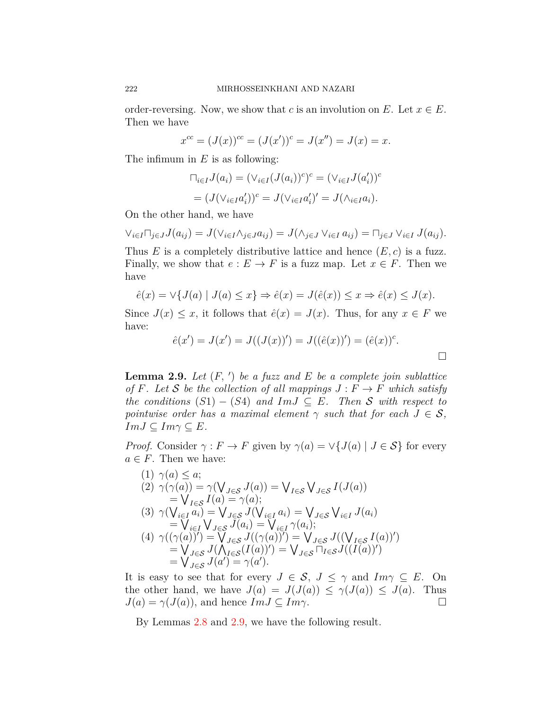order-reversing. Now, we show that *c* is an involution on *E*. Let  $x \in E$ . Then we have

$$
x^{cc} = (J(x))^{cc} = (J(x'))^c = J(x'') = J(x) = x.
$$

The infimum in *E* is as following:

$$
\begin{aligned} \n\Box_{i \in I} J(a_i) &= (\vee_{i \in I} (J(a_i))^c)^c = (\vee_{i \in I} J(a'_i))^c \\ \n&= (J(\vee_{i \in I} a'_i))^c = J(\vee_{i \in I} a'_i)' = J(\wedge_{i \in I} a_i). \n\end{aligned}
$$

On the other hand, we have

$$
\bigvee_{i\in I}\bigcap_{j\in J}J(a_{ij})=J\big(\vee_{i\in I}\wedge_{j\in J}a_{ij}\big)=J\big(\wedge_{j\in J}\vee_{i\in I}a_{ij}\big)=\bigcap_{j\in J}\vee_{i\in I}J(a_{ij}).
$$

Thus  $E$  is a completely distributive lattice and hence  $(E, c)$  is a fuzz. Finally, we show that  $e : E \to F$  is a fuzz map. Let  $x \in F$ . Then we have

$$
\hat{e}(x) = \vee \{ J(a) \mid J(a) \le x \} \Rightarrow \hat{e}(x) = J(\hat{e}(x)) \le x \Rightarrow \hat{e}(x) \le J(x).
$$

Since  $J(x) \leq x$ , it follows that  $\hat{e}(x) = J(x)$ . Thus, for any  $x \in F$  we have:

$$
\hat{e}(x') = J(x') = J((J(x))') = J((\hat{e}(x))') = (\hat{e}(x))^{c}.
$$

□

<span id="page-5-0"></span>**Lemma 2.9.** *Let* (*F, ′* ) *be a fuzz and E be a complete join sublattice of F. Let S be the collection of all mappings*  $J : F \rightarrow F$  *which satisfy the conditions*  $(S1) - (S4)$  *and*  $Im J \subseteq E$ *. Then S with respect to pointwise order has a maximal element*  $\gamma$  *such that for each*  $J \in \mathcal{S}$ ,  $Im J ⊂ Im \gamma ⊂ E$ .

*Proof.* Consider  $\gamma : F \to F$  given by  $\gamma(a) = \vee \{J(a) \mid J \in \mathcal{S}\}\)$  for every  $a \in F$ . Then we have:

(1) 
$$
\gamma(a) \leq a;
$$
  
\n(2) 
$$
\gamma(\gamma(a)) = \gamma(\bigvee_{J \in \mathcal{S}} J(a)) = \bigvee_{I \in \mathcal{S}} \bigvee_{J \in \mathcal{S}} I(J(a))
$$
  
\n
$$
= \bigvee_{I \in \mathcal{S}} I(a) = \gamma(a);
$$
  
\n(3) 
$$
\gamma(\bigvee_{i \in I} a_i) = \bigvee_{J \in \mathcal{S}} J(\bigvee_{i \in I} a_i) = \bigvee_{J \in \mathcal{S}} \bigvee_{i \in I} J(a_i)
$$
  
\n
$$
= \bigvee_{i \in I} \bigvee_{J \in \mathcal{S}} J(a_i) = \bigvee_{i \in I} \gamma(a_i);
$$
  
\n(4) 
$$
\gamma((\gamma(a))') = \bigvee_{J \in \mathcal{S}} J((\gamma(a))') = \bigvee_{J \in \mathcal{S}} J((\bigvee_{I \in \mathcal{S}} I(a))')
$$
  
\n
$$
= \bigvee_{J \in \mathcal{S}} J(\bigwedge_{I \in \mathcal{S}} (I(a))') = \bigvee_{J \in \mathcal{S}} \bigvee_{I \in \mathcal{S}} J((I(a))')
$$
  
\n
$$
= \bigvee_{J \in \mathcal{S}} J(a') = \gamma(a').
$$

It is easy to see that for every  $J \in \mathcal{S}$ ,  $J \leq \gamma$  and  $Im \gamma \subseteq E$ . On the other hand, we have  $J(a) = J(J(a)) \leq \gamma(J(a)) \leq J(a)$ . Thus  $J(a) = \gamma(J(a))$ , and hence  $Im J \subseteq Im \gamma$ .

By Lemmas [2.8](#page-4-0) and [2.9,](#page-5-0) we have the following result.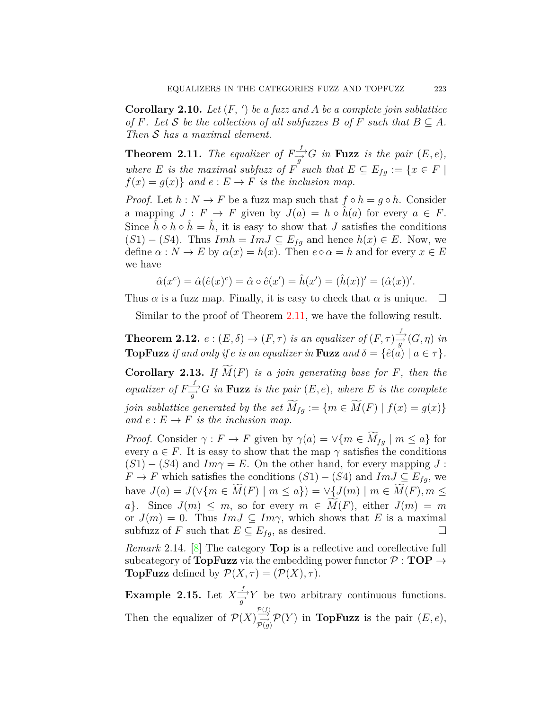**Corollary 2.10.** *Let* (*F, ′* ) *be a fuzz and A be a complete join sublattice of*  $F$ *. Let*  $S$  *be the collection of all subfuzzes*  $B$  *of*  $F$  *such that*  $B \subseteq A$ *. Then S has a maximal element.*

<span id="page-6-0"></span>**Theorem 2.11.** *The equalizer of*  $F \rightarrow g$ <sup>*f*</sup> $\rightarrow$ *G in* **Fuzz** *is the pair* (*E, e), where E is the maximal subfuzz of F such that*  $E \subseteq E_{fg} := \{x \in F \mid$  $f(x) = g(x)$  *and*  $e: E \to F$  *is the inclusion map.* 

*Proof.* Let  $h: N \to F$  be a fuzz map such that  $f \circ h = g \circ h$ . Consider a mapping  $J: F \to F$  given by  $J(a) = h \circ \hat{h}(a)$  for every  $a \in F$ . Since  $\hat{h} \circ h \circ \hat{h} = \hat{h}$ , it is easy to show that *J* satisfies the conditions  $(S1) − (S4)$ . Thus  $Imh = ImJ \subseteq E_{fg}$  and hence  $h(x) \in E$ . Now, we define  $\alpha : N \to E$  by  $\alpha(x) = h(x)$ . Then  $e \circ \alpha = h$  and for every  $x \in E$ we have

$$
\hat{\alpha}(x^c) = \hat{\alpha}(\hat{e}(x)^c) = \hat{\alpha} \circ \hat{e}(x') = \hat{h}(x') = (\hat{h}(x))' = (\hat{\alpha}(x))'.
$$

Thus  $\alpha$  is a fuzz map. Finally, it is easy to check that  $\alpha$  is unique.  $\Box$ 

Similar to the proof of Theorem [2.11](#page-6-0), we have the following result.

<span id="page-6-1"></span>**Theorem 2.12.**  $e:(E, \delta) \to (F, \tau)$  is an equalizer of  $(F, \tau) \xrightarrow[g]{f} (G, \eta)$  in **TopFuzz** if and only if  $e$  is an equalizer in **Fuzz** and  $\delta = \{ \hat{e}(a) \mid a \in \tau \}.$ 

**Corollary 2.13.** *If*  $\widetilde{M}(F)$  *is a join generating base for F, then the equalizer of*  $F \rightarrow g$ <sup>*f*</sup> $\rightarrow$ *G in* **Fuzz** *is the pair* (*E, e), where E is the complete join sublattice generated by the set*  $\widetilde{M}_{fg} := \{ m \in \widetilde{M}(F) \mid f(x) = g(x) \}$ *and*  $e: E \to F$  *is the inclusion map.* 

*Proof.* Consider  $\gamma : F \to F$  given by  $\gamma(a) = \sqrt{m \in M_{fg} \mid m \le a}$  for every  $a \in F$ . It is easy to show that the map  $\gamma$  satisfies the conditions  $(S1) - (S4)$  and  $Im \gamma = E$ . On the other hand, for every mapping *J* : *F* → *F* which satisfies the conditions  $(S1) - (S4)$  and  $Im J ⊆ E_{fg}$ , we have  $J(a) = J(\sqrt{m} \in \widetilde{M}(F) \mid m \le a)$  =  $\sqrt{J(m)} \mid m \in \widetilde{M}(F), m \le a$  $a$ <sup>}</sup>. Since  $J(m) \leq m$ , so for every  $m \in M(F)$ , either  $J(m) = m$ or  $J(m) = 0$ . Thus  $Im J \subseteq Im \gamma$ , which shows that *E* is a maximal subfuzz of *F* such that  $E \subseteq E_{fg}$ , as desired.  $\square$ 

*Remark* 2.14*.* [\[8](#page-8-6)] The category **Top** is a reflective and coreflective full subcategory of **TopFuzz** via the embedding power functor  $\mathcal{P}: \mathbf{TOP} \rightarrow \mathcal{P}$ **TopFuzz** defined by  $\mathcal{P}(X,\tau) = (\mathcal{P}(X),\tau)$ .

**Example 2.15.** Let  $X \xrightarrow[\text{g}]{f} Y$  be two arbitrary continuous functions. Then the equalizer of  $\mathcal{P}(X) \rightarrow{\mathcal{P}(f)}$ *P*(*g*)  $P(Y)$  in **TopFuzz** is the pair  $(E, e)$ ,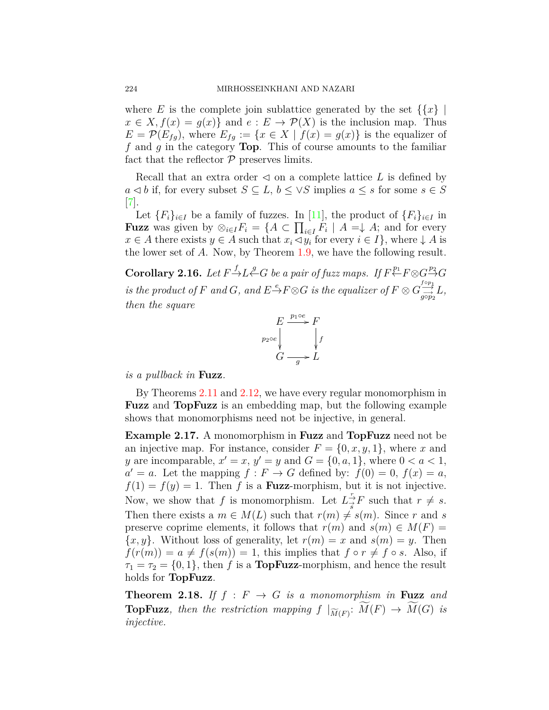where *E* is the complete join sublattice generated by the set  $\{\{x\}$  $x \in X, f(x) = g(x)$  and  $e: E \to \mathcal{P}(X)$  is the inclusion map. Thus  $E = \mathcal{P}(E_{fg})$ , where  $E_{fg} := \{x \in X \mid f(x) = g(x)\}$  is the equalizer of *f* and *g* in the category **Top**. This of course amounts to the familiar fact that the reflector  $P$  preserves limits.

Recall that an extra order  $\triangleleft$  on a complete lattice L is defined by *a*  $\triangleleft$  *b* if, for every subset *S*  $\subseteq$  *L*, *b*  $\leq \vee$ *S* implies *a*  $\leq$  *s* for some *s*  $\in$  *S* [[7\]](#page-8-5).

Let  ${F_i}_{i \in I}$  be a family of fuzzes. In [\[11\]](#page-9-0), the product of  ${F_i}_{i \in I}$  in **Fuzz** was given by  $\otimes_{i \in I} F_i = \{ A \subset \prod_{i \in I} F_i \mid A = \downarrow A \}$  and for every  $x \in A$  there exists  $y \in A$  such that  $x_i \triangleleft y_i$  for every  $i \in I$ , where  $\downarrow A$  is the lower set of *A*. Now, by Theorem [1.9](#page-2-0), we have the following result.

**Corollary 2.16.** *Let*  $F \xrightarrow{f} L \xleftarrow{g} G$  *be a pair of fuzz maps. If*  $F \xleftarrow{p_1} F \otimes G \xrightarrow{p_2} G$ is the product of F and G, and  $E \to F \otimes G$  is the equalizer of  $F \otimes G \stackrel{f \circ p_1}{\longrightarrow} L$ , *then the square*



*is a pullback in* **Fuzz***.*

By Theorems [2.11](#page-6-0) and [2.12,](#page-6-1) we have every regular monomorphism in **Fuzz** and **TopFuzz** is an embedding map, but the following example shows that monomorphisms need not be injective, in general.

**Example 2.17.** A monomorphism in **Fuzz** and **TopFuzz** need not be an injective map. For instance, consider  $F = \{0, x, y, 1\}$ , where *x* and *y* are incomparable,  $x' = x$ ,  $y' = y$  and  $G = \{0, a, 1\}$ , where  $0 < a < 1$ ,  $a' = a$ . Let the mapping  $f : F \to G$  defined by:  $f(0) = 0$ ,  $f(x) = a$ ,  $f(1) = f(y) = 1$ . Then *f* is a **Fuzz**-morphism, but it is not injective. Now, we show that *f* is monomorphism. Let  $L^{\frac{r}{\rightarrow}}_sF$  such that  $r \neq s$ . Then there exists a  $m \in M(L)$  such that  $r(m) \neq s(m)$ . Since *r* and *s* preserve coprime elements, it follows that  $r(m)$  and  $s(m) \in M(F)$  ${x, y}$ . Without loss of generality, let  $r(m) = x$  and  $s(m) = y$ . Then  $f(r(m)) = a \neq f(s(m)) = 1$ , this implies that  $f \circ r \neq f \circ s$ . Also, if  $\tau_1 = \tau_2 = \{0, 1\}$ , then *f* is a **TopFuzz**-morphism, and hence the result holds for **TopFuzz**.

**Theorem 2.18.** *If*  $f : F \rightarrow G$  *is a monomorphism in* **Fuzz** *and* **TopFuzz***, then the restriction mapping*  $f |_{\widetilde{M}(F)}: M(F) \rightarrow M(G)$  *is injective.*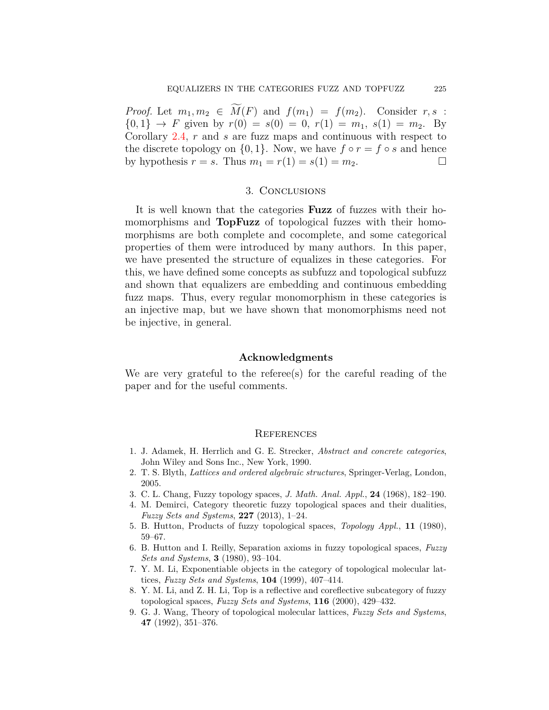*Proof.* Let  $m_1, m_2 \in M(F)$  and  $f(m_1) = f(m_2)$ . Consider  $r, s$ :  $\{0, 1\} \rightarrow F$  given by  $r(0) = s(0) = 0$ ,  $r(1) = m_1$ ,  $s(1) = m_2$ . By Corollary [2.4](#page-4-1), *r* and *s* are fuzz maps and continuous with respect to the discrete topology on  $\{0,1\}$ . Now, we have  $f \circ r = f \circ s$  and hence by hypothesis  $r = s$ . Thus  $m_1 = r(1) = s(1) = m_2$ .

# 3. Conclusions

It is well known that the categories **Fuzz** of fuzzes with their homomorphisms and **TopFuzz** of topological fuzzes with their homomorphisms are both complete and cocomplete, and some categorical properties of them were introduced by many authors. In this paper, we have presented the structure of equalizes in these categories. For this, we have defined some concepts as subfuzz and topological subfuzz and shown that equalizers are embedding and continuous embedding fuzz maps. Thus, every regular monomorphism in these categories is an injective map, but we have shown that monomorphisms need not be injective, in general.

## **Acknowledgments**

We are very grateful to the referee(s) for the careful reading of the paper and for the useful comments.

## **REFERENCES**

- <span id="page-8-7"></span>1. J. Adamek, H. Herrlich and G. E. Strecker, *Abstract and concrete categories*, John Wiley and Sons Inc., New York, 1990.
- <span id="page-8-8"></span>2. T. S. Blyth, *Lattices and ordered algebraic structures*, Springer-Verlag, London, 2005.
- <span id="page-8-2"></span>3. C. L. Chang, Fuzzy topology spaces, *J. Math. Anal. Appl.*, **24** (1968), 182–190.
- <span id="page-8-3"></span>4. M. Demirci, Category theoretic fuzzy topological spaces and their dualities, *Fuzzy Sets and Systems*, **227** (2013), 1–24.
- <span id="page-8-1"></span>5. B. Hutton, Products of fuzzy topological spaces, *Topology Appl.*, **11** (1980), 59–67.
- <span id="page-8-4"></span>6. B. Hutton and I. Reilly, Separation axioms in fuzzy topological spaces, *Fuzzy Sets and Systems*, **3** (1980), 93–104.
- <span id="page-8-5"></span>7. Y. M. Li, Exponentiable objects in the category of topological molecular lattices, *Fuzzy Sets and Systems*, **104** (1999), 407–414.
- <span id="page-8-6"></span>8. Y. M. Li, and Z. H. Li, Top is a reflective and coreflective subcategory of fuzzy topological spaces, *Fuzzy Sets and Systems*, **116** (2000), 429–432.
- <span id="page-8-0"></span>9. G. J. Wang, Theory of topological molecular lattices, *Fuzzy Sets and Systems*, **47** (1992), 351–376.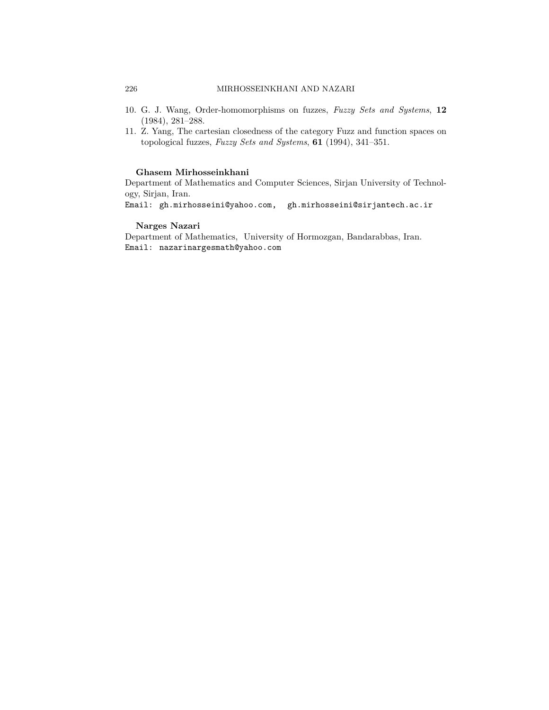# 226 MIRHOSSEINKHANI AND NAZARI

- <span id="page-9-1"></span>10. G. J. Wang, Order-homomorphisms on fuzzes, *Fuzzy Sets and Systems*, **12** (1984), 281–288.
- <span id="page-9-0"></span>11. Z. Yang, The cartesian closedness of the category Fuzz and function spaces on topological fuzzes, *Fuzzy Sets and Systems*, **61** (1994), 341–351.

### **Ghasem Mirhosseinkhani**

Department of Mathematics and Computer Sciences, Sirjan University of Technology, Sirjan, Iran.

Email: gh.mirhosseini@yahoo.com, gh.mirhosseini@sirjantech.ac.ir

### **Narges Nazari**

Department of Mathematics, University of Hormozgan, Bandarabbas, Iran. Email: nazarinargesmath@yahoo.com